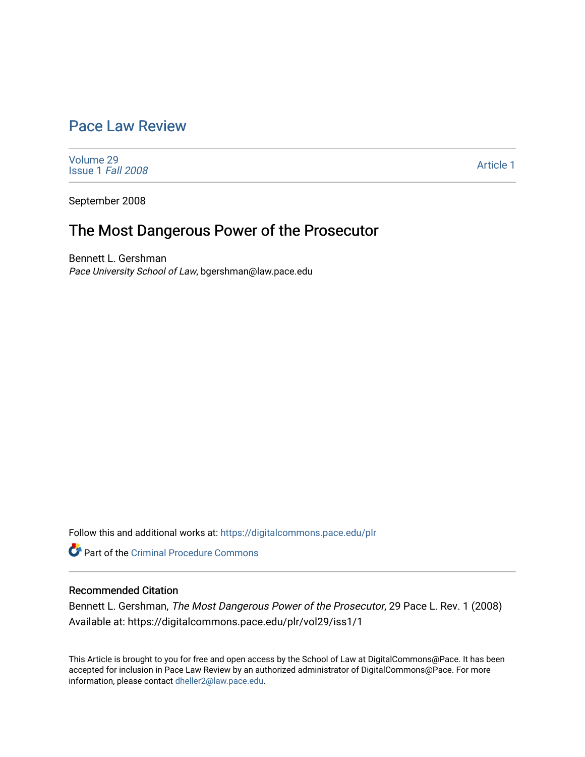# [Pace Law Review](https://digitalcommons.pace.edu/plr)

[Volume 29](https://digitalcommons.pace.edu/plr/vol29) [Issue 1](https://digitalcommons.pace.edu/plr/vol29/iss1) Fall 2008

[Article 1](https://digitalcommons.pace.edu/plr/vol29/iss1/1) 

September 2008

# The Most Dangerous Power of the Prosecutor

Bennett L. Gershman Pace University School of Law, bgershman@law.pace.edu

Follow this and additional works at: [https://digitalcommons.pace.edu/plr](https://digitalcommons.pace.edu/plr?utm_source=digitalcommons.pace.edu%2Fplr%2Fvol29%2Fiss1%2F1&utm_medium=PDF&utm_campaign=PDFCoverPages)

**C**<sup> $\bullet$ </sup> Part of the Criminal Procedure Commons

# Recommended Citation

Bennett L. Gershman, The Most Dangerous Power of the Prosecutor, 29 Pace L. Rev. 1 (2008) Available at: https://digitalcommons.pace.edu/plr/vol29/iss1/1

This Article is brought to you for free and open access by the School of Law at DigitalCommons@Pace. It has been accepted for inclusion in Pace Law Review by an authorized administrator of DigitalCommons@Pace. For more information, please contact [dheller2@law.pace.edu.](mailto:dheller2@law.pace.edu)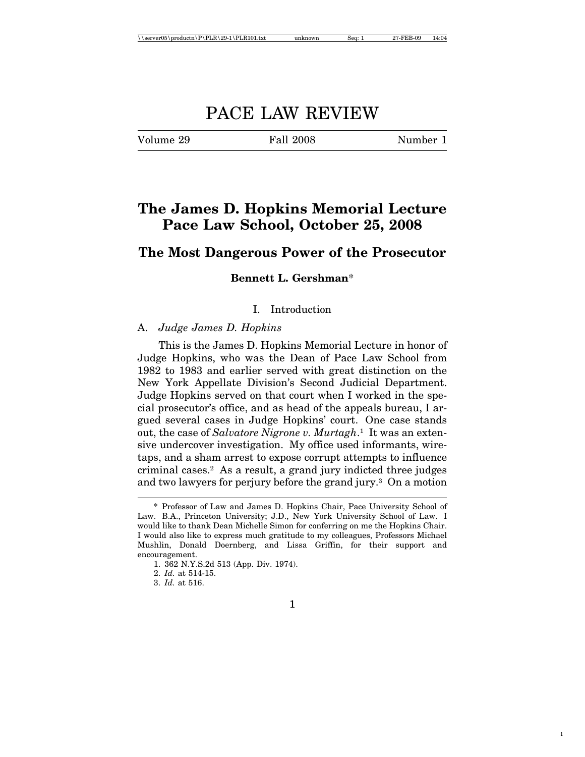# PACE LAW REVIEW

Volume 29 Fall 2008 Number 1

1

# **The James D. Hopkins Memorial Lecture Pace Law School, October 25, 2008**

# **The Most Dangerous Power of the Prosecutor**

# **Bennett L. Gershman**\*

# I. Introduction

# A. *Judge James D. Hopkins*

This is the James D. Hopkins Memorial Lecture in honor of Judge Hopkins, who was the Dean of Pace Law School from 1982 to 1983 and earlier served with great distinction on the New York Appellate Division's Second Judicial Department. Judge Hopkins served on that court when I worked in the special prosecutor's office, and as head of the appeals bureau, I argued several cases in Judge Hopkins' court. One case stands out, the case of *Salvatore Nigrone v. Murtagh*.1 It was an extensive undercover investigation. My office used informants, wiretaps, and a sham arrest to expose corrupt attempts to influence criminal cases.2 As a result, a grand jury indicted three judges and two lawyers for perjury before the grand jury.3 On a motion

<sup>\*</sup> Professor of Law and James D. Hopkins Chair, Pace University School of Law. B.A., Princeton University; J.D., New York University School of Law. I would like to thank Dean Michelle Simon for conferring on me the Hopkins Chair. I would also like to express much gratitude to my colleagues, Professors Michael Mushlin, Donald Doernberg, and Lissa Griffin, for their support and encouragement.

<sup>1. 362</sup> N.Y.S.2d 513 (App. Div. 1974).

<sup>2.</sup> *Id.* at 514-15.

<sup>3.</sup> *Id.* at 516.

<sup>1</sup>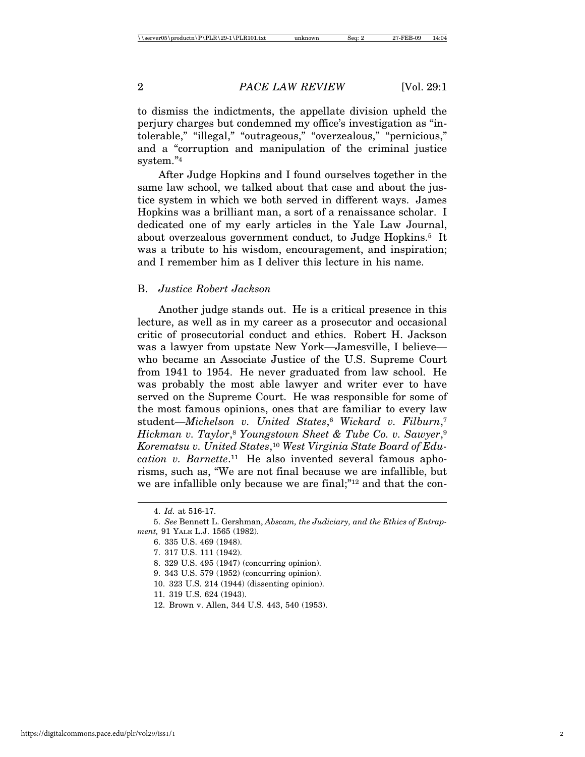to dismiss the indictments, the appellate division upheld the perjury charges but condemned my office's investigation as "intolerable," "illegal," "outrageous," "overzealous," "pernicious," and a "corruption and manipulation of the criminal justice system."4

After Judge Hopkins and I found ourselves together in the same law school, we talked about that case and about the justice system in which we both served in different ways. James Hopkins was a brilliant man, a sort of a renaissance scholar. I dedicated one of my early articles in the Yale Law Journal, about overzealous government conduct, to Judge Hopkins.5 It was a tribute to his wisdom, encouragement, and inspiration; and I remember him as I deliver this lecture in his name.

# B. *Justice Robert Jackson*

Another judge stands out. He is a critical presence in this lecture, as well as in my career as a prosecutor and occasional critic of prosecutorial conduct and ethics. Robert H. Jackson was a lawyer from upstate New York—Jamesville, I believe who became an Associate Justice of the U.S. Supreme Court from 1941 to 1954. He never graduated from law school. He was probably the most able lawyer and writer ever to have served on the Supreme Court. He was responsible for some of the most famous opinions, ones that are familiar to every law student—*Michelson v. United States*,6 *Wickard v. Filburn*,7 *Hickman v. Taylor*,8 *Youngstown Sheet & Tube Co. v. Sawyer*,9 *Korematsu v. United States*,10 *West Virginia State Board of Education v. Barnette*.11 He also invented several famous aphorisms, such as, "We are not final because we are infallible, but we are infallible only because we are final;"12 and that the con-

https://digitalcommons.pace.edu/plr/vol29/iss1/1 2

<sup>4.</sup> *Id.* at 516-17.

<sup>5.</sup> *See* Bennett L. Gershman, *Abscam, the Judiciary, and the Ethics of Entrapment,* 91 YALE L.J. 1565 (1982).

<sup>6. 335</sup> U.S. 469 (1948).

<sup>7. 317</sup> U.S. 111 (1942).

<sup>8. 329</sup> U.S. 495 (1947) (concurring opinion).

<sup>9. 343</sup> U.S. 579 (1952) (concurring opinion).

<sup>10. 323</sup> U.S. 214 (1944) (dissenting opinion).

<sup>11. 319</sup> U.S. 624 (1943).

<sup>12.</sup> Brown v. Allen, 344 U.S. 443, 540 (1953).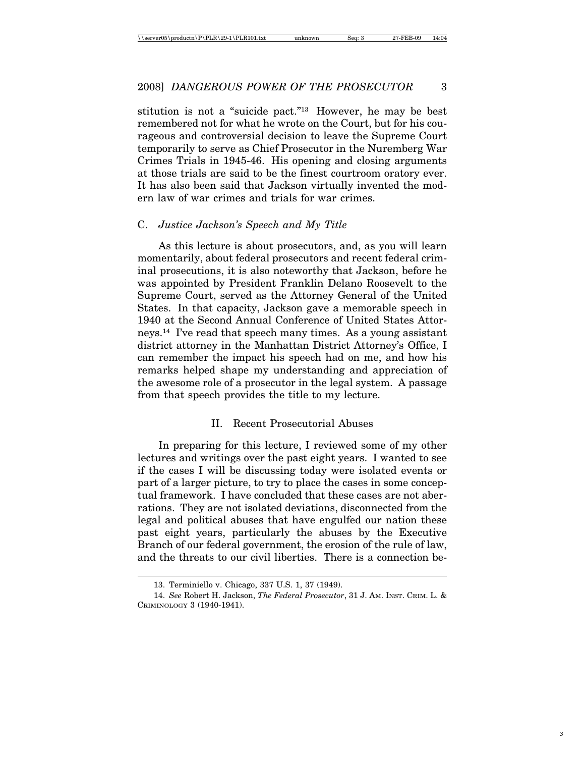stitution is not a "suicide pact."13 However, he may be best remembered not for what he wrote on the Court, but for his courageous and controversial decision to leave the Supreme Court temporarily to serve as Chief Prosecutor in the Nuremberg War Crimes Trials in 1945-46. His opening and closing arguments at those trials are said to be the finest courtroom oratory ever. It has also been said that Jackson virtually invented the modern law of war crimes and trials for war crimes.

#### C. *Justice Jackson's Speech and My Title*

As this lecture is about prosecutors, and, as you will learn momentarily, about federal prosecutors and recent federal criminal prosecutions, it is also noteworthy that Jackson, before he was appointed by President Franklin Delano Roosevelt to the Supreme Court, served as the Attorney General of the United States. In that capacity, Jackson gave a memorable speech in 1940 at the Second Annual Conference of United States Attorneys.14 I've read that speech many times. As a young assistant district attorney in the Manhattan District Attorney's Office, I can remember the impact his speech had on me, and how his remarks helped shape my understanding and appreciation of the awesome role of a prosecutor in the legal system. A passage from that speech provides the title to my lecture.

#### II. Recent Prosecutorial Abuses

In preparing for this lecture, I reviewed some of my other lectures and writings over the past eight years. I wanted to see if the cases I will be discussing today were isolated events or part of a larger picture, to try to place the cases in some conceptual framework. I have concluded that these cases are not aberrations. They are not isolated deviations, disconnected from the legal and political abuses that have engulfed our nation these past eight years, particularly the abuses by the Executive Branch of our federal government, the erosion of the rule of law, and the threats to our civil liberties. There is a connection be-

<sup>13.</sup> Terminiello v. Chicago, 337 U.S. 1, 37 (1949).

<sup>14.</sup> *See* Robert H. Jackson, *The Federal Prosecutor*, 31 J. AM. INST. CRIM. L. & CRIMINOLOGY 3 (1940-1941).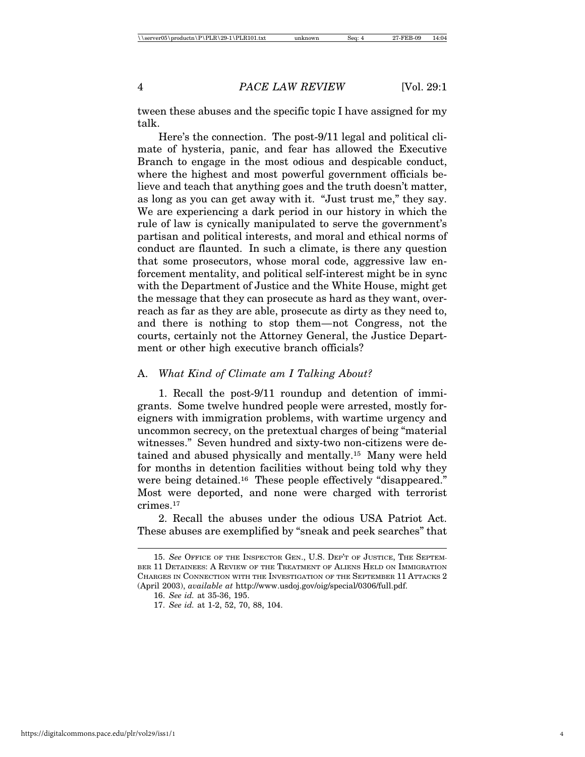tween these abuses and the specific topic I have assigned for my talk.

Here's the connection. The post-9/11 legal and political climate of hysteria, panic, and fear has allowed the Executive Branch to engage in the most odious and despicable conduct, where the highest and most powerful government officials believe and teach that anything goes and the truth doesn't matter, as long as you can get away with it. "Just trust me," they say. We are experiencing a dark period in our history in which the rule of law is cynically manipulated to serve the government's partisan and political interests, and moral and ethical norms of conduct are flaunted. In such a climate, is there any question that some prosecutors, whose moral code, aggressive law enforcement mentality, and political self-interest might be in sync with the Department of Justice and the White House, might get the message that they can prosecute as hard as they want, overreach as far as they are able, prosecute as dirty as they need to, and there is nothing to stop them—not Congress, not the courts, certainly not the Attorney General, the Justice Department or other high executive branch officials?

# A. *What Kind of Climate am I Talking About?*

1. Recall the post-9/11 roundup and detention of immigrants. Some twelve hundred people were arrested, mostly foreigners with immigration problems, with wartime urgency and uncommon secrecy, on the pretextual charges of being "material witnesses." Seven hundred and sixty-two non-citizens were detained and abused physically and mentally.15 Many were held for months in detention facilities without being told why they were being detained.<sup>16</sup> These people effectively "disappeared." Most were deported, and none were charged with terrorist crimes.17

2. Recall the abuses under the odious USA Patriot Act. These abuses are exemplified by "sneak and peek searches" that

<sup>15.</sup> *See* OFFICE OF THE INSPECTOR GEN., U.S. DEP'T OF JUSTICE, THE SEPTEM-BER 11 DETAINEES: A REVIEW OF THE TREATMENT OF ALIENS HELD ON IMMIGRATION CHARGES IN CONNECTION WITH THE INVESTIGATION OF THE SEPTEMBER 11 ATTACKS 2 (April 2003), *available at* http://www.usdoj.gov/oig/special/0306/full.pdf.

<sup>16.</sup> *See id.* at 35-36, 195.

<sup>17.</sup> *See id.* at 1-2, 52, 70, 88, 104.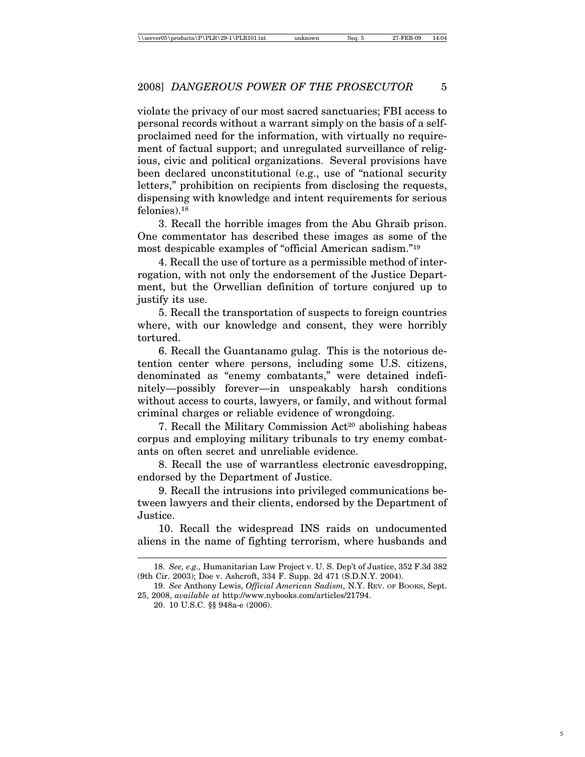violate the privacy of our most sacred sanctuaries; FBI access to personal records without a warrant simply on the basis of a selfproclaimed need for the information, with virtually no requirement of factual support; and unregulated surveillance of religious, civic and political organizations. Several provisions have been declared unconstitutional (e.g., use of "national security letters," prohibition on recipients from disclosing the requests, dispensing with knowledge and intent requirements for serious felonies).18

3. Recall the horrible images from the Abu Ghraib prison. One commentator has described these images as some of the most despicable examples of "official American sadism."19

4. Recall the use of torture as a permissible method of interrogation, with not only the endorsement of the Justice Department, but the Orwellian definition of torture conjured up to justify its use.

5. Recall the transportation of suspects to foreign countries where, with our knowledge and consent, they were horribly tortured.

6. Recall the Guantanamo gulag. This is the notorious detention center where persons, including some U.S. citizens, denominated as "enemy combatants," were detained indefinitely—possibly forever—in unspeakably harsh conditions without access to courts, lawyers, or family, and without formal criminal charges or reliable evidence of wrongdoing.

7. Recall the Military Commission Act<sup>20</sup> abolishing habeas corpus and employing military tribunals to try enemy combatants on often secret and unreliable evidence.

8. Recall the use of warrantless electronic eavesdropping, endorsed by the Department of Justice.

9. Recall the intrusions into privileged communications between lawyers and their clients, endorsed by the Department of Justice.

10. Recall the widespread INS raids on undocumented aliens in the name of fighting terrorism, where husbands and

<sup>18.</sup> *See, e.g.,* Humanitarian Law Project v. U. S. Dep't of Justice, 352 F.3d 382 (9th Cir. 2003); Doe v. Ashcroft, 334 F. Supp. 2d 471 (S.D.N.Y. 2004).

<sup>19.</sup> *See* Anthony Lewis, *Official American Sadism,* N.Y. REV. OF BOOKS, Sept. 25, 2008, *available at* http://www.nybooks.com/articles/21794.

<sup>20. 10</sup> U.S.C. §§ 948a-e (2006).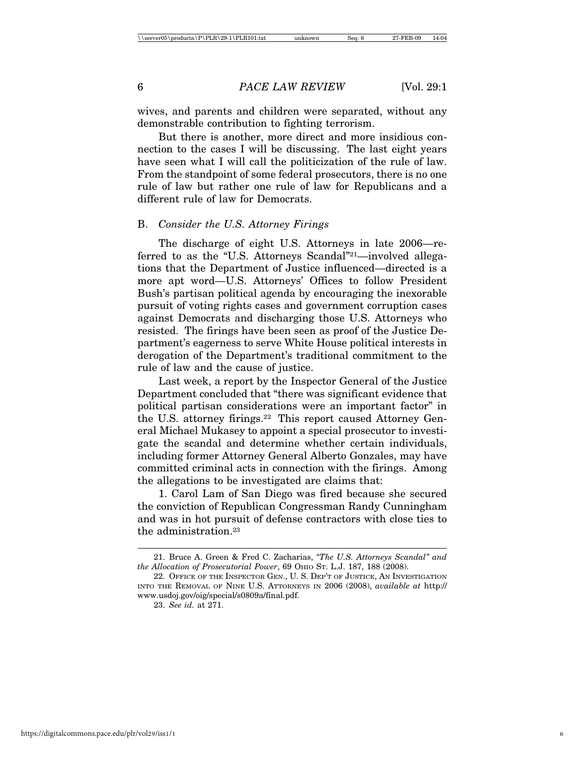wives, and parents and children were separated, without any demonstrable contribution to fighting terrorism.

But there is another, more direct and more insidious connection to the cases I will be discussing. The last eight years have seen what I will call the politicization of the rule of law. From the standpoint of some federal prosecutors, there is no one rule of law but rather one rule of law for Republicans and a different rule of law for Democrats.

# B. *Consider the U.S. Attorney Firings*

The discharge of eight U.S. Attorneys in late 2006—referred to as the "U.S. Attorneys Scandal"21—involved allegations that the Department of Justice influenced—directed is a more apt word—U.S. Attorneys' Offices to follow President Bush's partisan political agenda by encouraging the inexorable pursuit of voting rights cases and government corruption cases against Democrats and discharging those U.S. Attorneys who resisted. The firings have been seen as proof of the Justice Department's eagerness to serve White House political interests in derogation of the Department's traditional commitment to the rule of law and the cause of justice.

Last week, a report by the Inspector General of the Justice Department concluded that "there was significant evidence that political partisan considerations were an important factor" in the U.S. attorney firings.22 This report caused Attorney General Michael Mukasey to appoint a special prosecutor to investigate the scandal and determine whether certain individuals, including former Attorney General Alberto Gonzales, may have committed criminal acts in connection with the firings. Among the allegations to be investigated are claims that:

1. Carol Lam of San Diego was fired because she secured the conviction of Republican Congressman Randy Cunningham and was in hot pursuit of defense contractors with close ties to the administration.23

<sup>21.</sup> Bruce A. Green & Fred C. Zacharias, *"The U.S. Attorneys Scandal" and the Allocation of Prosecutorial Power*, 69 OHIO ST. L.J. 187, 188 (2008).

<sup>22.</sup> OFFICE OF THE INSPECTOR GEN., U. S. DEP'T OF JUSTICE, AN INVESTIGATION INTO THE REMOVAL OF NINE U.S. ATTORNEYS IN 2006 (2008), *available at* http:// www.usdoj.gov/oig/special/s0809a/final.pdf.

<sup>23.</sup> *See id.* at 271.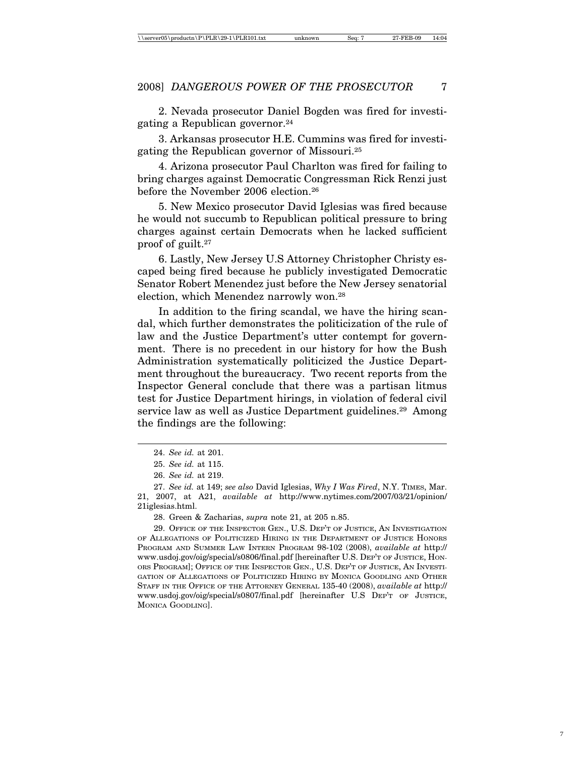2. Nevada prosecutor Daniel Bogden was fired for investigating a Republican governor.24

3. Arkansas prosecutor H.E. Cummins was fired for investigating the Republican governor of Missouri.25

4. Arizona prosecutor Paul Charlton was fired for failing to bring charges against Democratic Congressman Rick Renzi just before the November 2006 election.<sup>26</sup>

5. New Mexico prosecutor David Iglesias was fired because he would not succumb to Republican political pressure to bring charges against certain Democrats when he lacked sufficient proof of guilt.27

6. Lastly, New Jersey U.S Attorney Christopher Christy escaped being fired because he publicly investigated Democratic Senator Robert Menendez just before the New Jersey senatorial election, which Menendez narrowly won.28

In addition to the firing scandal, we have the hiring scandal, which further demonstrates the politicization of the rule of law and the Justice Department's utter contempt for government. There is no precedent in our history for how the Bush Administration systematically politicized the Justice Department throughout the bureaucracy. Two recent reports from the Inspector General conclude that there was a partisan litmus test for Justice Department hirings, in violation of federal civil service law as well as Justice Department guidelines.<sup>29</sup> Among the findings are the following:

<sup>24.</sup> *See id.* at 201.

<sup>25.</sup> *See id.* at 115.

<sup>26.</sup> *See id.* at 219.

<sup>27.</sup> *See id.* at 149; *see also* David Iglesias, *Why I Was Fired*, N.Y. TIMES, Mar. 21, 2007, at A21, *available at* http://www.nytimes.com/2007/03/21/opinion/ 21iglesias.html.

<sup>28.</sup> Green & Zacharias, *supra* note 21, at 205 n.85.

<sup>29.</sup> OFFICE OF THE INSPECTOR GEN., U.S. DEP'T OF JUSTICE, AN INVESTIGATION OF ALLEGATIONS OF POLITICIZED HIRING IN THE DEPARTMENT OF JUSTICE HONORS PROGRAM AND SUMMER LAW INTERN PROGRAM 98-102 (2008), *available at* http:// www.usdoj.gov/oig/special/s0806/final.pdf [hereinafter U.S. DEP'T OF JUSTICE, HON-ORS PROGRAM]; OFFICE OF THE INSPECTOR GEN., U.S. DEP'T OF JUSTICE, AN INVESTI-GATION OF ALLEGATIONS OF POLITICIZED HIRING BY MONICA GOODLING AND OTHER STAFF IN THE OFFICE OF THE ATTORNEY GENERAL 135-40 (2008), *available at* http:// www.usdoj.gov/oig/special/s0807/final.pdf [hereinafter U.S DEP'T OF JUSTICE, MONICA GOODLING].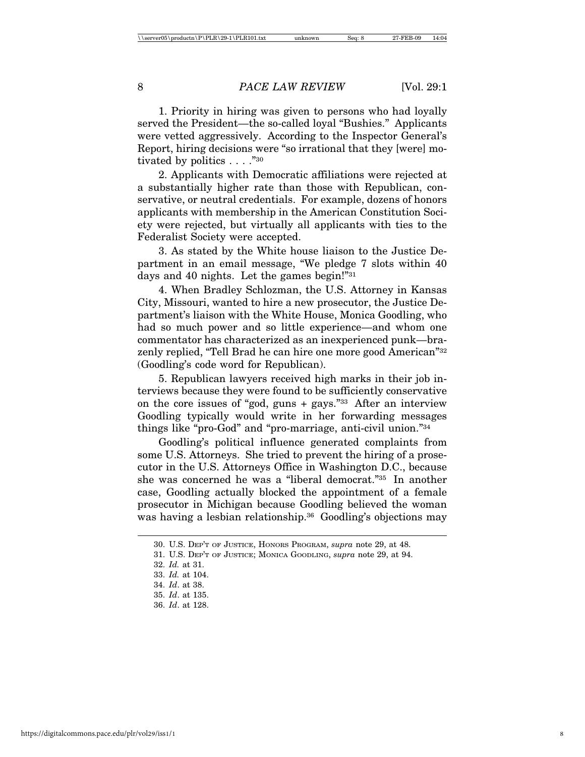1. Priority in hiring was given to persons who had loyally served the President—the so-called loyal "Bushies." Applicants were vetted aggressively. According to the Inspector General's Report, hiring decisions were "so irrational that they [were] motivated by politics . . . . "30"

2. Applicants with Democratic affiliations were rejected at a substantially higher rate than those with Republican, conservative, or neutral credentials. For example, dozens of honors applicants with membership in the American Constitution Society were rejected, but virtually all applicants with ties to the Federalist Society were accepted.

3. As stated by the White house liaison to the Justice Department in an email message, "We pledge 7 slots within 40 days and 40 nights. Let the games begin!"31

4. When Bradley Schlozman, the U.S. Attorney in Kansas City, Missouri, wanted to hire a new prosecutor, the Justice Department's liaison with the White House, Monica Goodling, who had so much power and so little experience—and whom one commentator has characterized as an inexperienced punk—brazenly replied, "Tell Brad he can hire one more good American"32 (Goodling's code word for Republican).

5. Republican lawyers received high marks in their job interviews because they were found to be sufficiently conservative on the core issues of "god, guns + gays."33 After an interview Goodling typically would write in her forwarding messages things like "pro-God" and "pro-marriage, anti-civil union."34

Goodling's political influence generated complaints from some U.S. Attorneys. She tried to prevent the hiring of a prosecutor in the U.S. Attorneys Office in Washington D.C., because she was concerned he was a "liberal democrat."35 In another case, Goodling actually blocked the appointment of a female prosecutor in Michigan because Goodling believed the woman was having a lesbian relationship.<sup>36</sup> Goodling's objections may

<sup>30.</sup> U.S. DEP'T OF JUSTICE, HONORS PROGRAM, *supra* note 29, at 48.

<sup>31.</sup> U.S. DEP'T OF JUSTICE; MONICA GOODLING, *supra* note 29, at 94.

<sup>32.</sup> *Id.* at 31.

<sup>33.</sup> *Id.* at 104.

<sup>34.</sup> *Id*. at 38.

<sup>35.</sup> *Id*. at 135.

<sup>36.</sup> *Id*. at 128.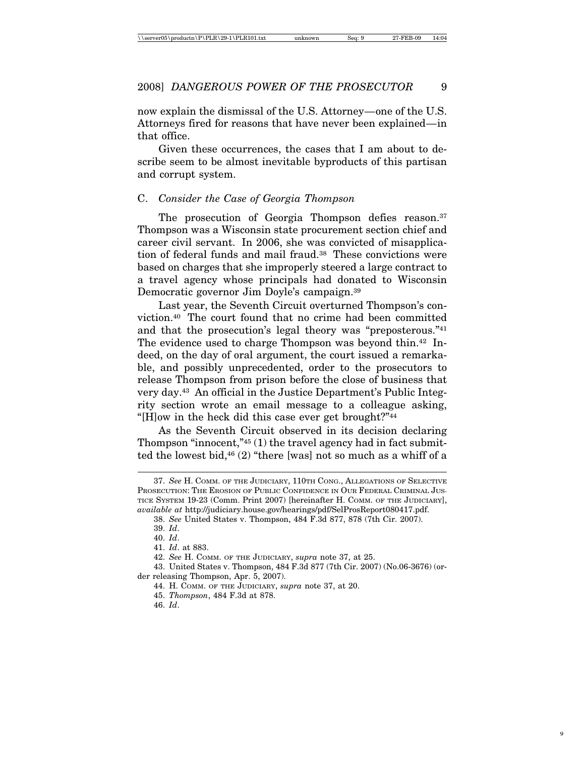now explain the dismissal of the U.S. Attorney—one of the U.S. Attorneys fired for reasons that have never been explained—in that office.

Given these occurrences, the cases that I am about to describe seem to be almost inevitable byproducts of this partisan and corrupt system.

## C. *Consider the Case of Georgia Thompson*

The prosecution of Georgia Thompson defies reason.<sup>37</sup> Thompson was a Wisconsin state procurement section chief and career civil servant. In 2006, she was convicted of misapplication of federal funds and mail fraud.38 These convictions were based on charges that she improperly steered a large contract to a travel agency whose principals had donated to Wisconsin Democratic governor Jim Doyle's campaign.39

Last year, the Seventh Circuit overturned Thompson's conviction.40 The court found that no crime had been committed and that the prosecution's legal theory was "preposterous."41 The evidence used to charge Thompson was beyond thin.<sup>42</sup> Indeed, on the day of oral argument, the court issued a remarkable, and possibly unprecedented, order to the prosecutors to release Thompson from prison before the close of business that very day.43 An official in the Justice Department's Public Integrity section wrote an email message to a colleague asking, "[H]ow in the heck did this case ever get brought?"44

As the Seventh Circuit observed in its decision declaring Thompson "innocent," $45$  (1) the travel agency had in fact submitted the lowest bid,46 (2) "there [was] not so much as a whiff of a

<sup>37.</sup> *See* H. COMM. OF THE JUDICIARY, 110TH CONG., ALLEGATIONS OF SELECTIVE PROSECUTION: THE EROSION OF PUBLIC CONFIDENCE IN OUR FEDERAL CRIMINAL JUS-TICE SYSTEM 19-23 (Comm. Print 2007) [hereinafter H. COMM. OF THE JUDICIARY], *available at* http://judiciary.house.gov/hearings/pdf/SelProsReport080417.pdf.

<sup>38.</sup> *See* United States v. Thompson, 484 F.3d 877, 878 (7th Cir. 2007).

<sup>39.</sup> *Id*.

<sup>40.</sup> *Id*.

<sup>41.</sup> *Id*. at 883.

<sup>42.</sup> *See* H. COMM. OF THE JUDICIARY, *supra* note 37, at 25.

<sup>43.</sup> United States v. Thompson, 484 F.3d 877 (7th Cir. 2007) (No.06-3676) (order releasing Thompson, Apr. 5, 2007).

<sup>44.</sup> H. COMM. OF THE JUDICIARY, *supra* note 37, at 20.

<sup>45.</sup> *Thompson*, 484 F.3d at 878.

<sup>46.</sup> *Id*.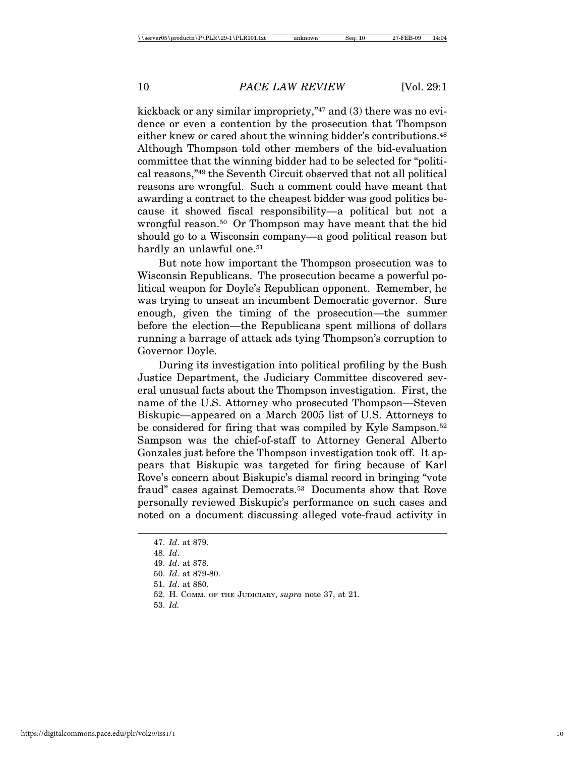kickback or any similar impropriety,"47 and (3) there was no evidence or even a contention by the prosecution that Thompson either knew or cared about the winning bidder's contributions.<sup>48</sup> Although Thompson told other members of the bid-evaluation committee that the winning bidder had to be selected for "political reasons,"49 the Seventh Circuit observed that not all political reasons are wrongful. Such a comment could have meant that awarding a contract to the cheapest bidder was good politics because it showed fiscal responsibility—a political but not a wrongful reason.50 Or Thompson may have meant that the bid should go to a Wisconsin company—a good political reason but hardly an unlawful one.<sup>51</sup>

But note how important the Thompson prosecution was to Wisconsin Republicans. The prosecution became a powerful political weapon for Doyle's Republican opponent. Remember, he was trying to unseat an incumbent Democratic governor. Sure enough, given the timing of the prosecution—the summer before the election—the Republicans spent millions of dollars running a barrage of attack ads tying Thompson's corruption to Governor Doyle.

During its investigation into political profiling by the Bush Justice Department, the Judiciary Committee discovered several unusual facts about the Thompson investigation. First, the name of the U.S. Attorney who prosecuted Thompson—Steven Biskupic—appeared on a March 2005 list of U.S. Attorneys to be considered for firing that was compiled by Kyle Sampson.52 Sampson was the chief-of-staff to Attorney General Alberto Gonzales just before the Thompson investigation took off. It appears that Biskupic was targeted for firing because of Karl Rove's concern about Biskupic's dismal record in bringing "vote fraud" cases against Democrats.53 Documents show that Rove personally reviewed Biskupic's performance on such cases and noted on a document discussing alleged vote-fraud activity in

51. *Id*. at 880.

53. *Id.*

<sup>47.</sup> *Id*. at 879.

<sup>48.</sup> *Id*.

<sup>49.</sup> *Id*. at 878.

<sup>50.</sup> *Id*. at 879-80.

<sup>52.</sup> H. COMM. OF THE JUDICIARY, *supra* note 37, at 21.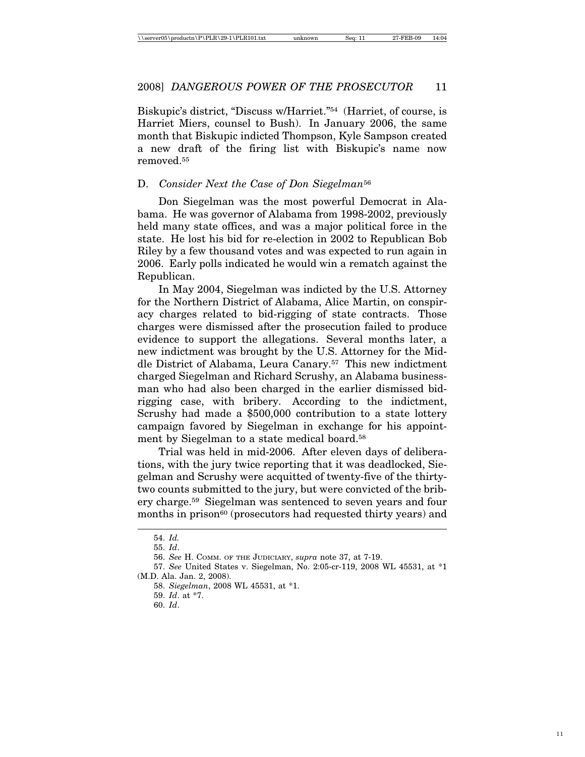Biskupic's district, "Discuss w/Harriet."54 (Harriet, of course, is Harriet Miers, counsel to Bush). In January 2006, the same month that Biskupic indicted Thompson, Kyle Sampson created a new draft of the firing list with Biskupic's name now removed.55

# D. *Consider Next the Case of Don Siegelman*<sup>56</sup>

Don Siegelman was the most powerful Democrat in Alabama. He was governor of Alabama from 1998-2002, previously held many state offices, and was a major political force in the state. He lost his bid for re-election in 2002 to Republican Bob Riley by a few thousand votes and was expected to run again in 2006. Early polls indicated he would win a rematch against the Republican.

In May 2004, Siegelman was indicted by the U.S. Attorney for the Northern District of Alabama, Alice Martin, on conspiracy charges related to bid-rigging of state contracts. Those charges were dismissed after the prosecution failed to produce evidence to support the allegations. Several months later, a new indictment was brought by the U.S. Attorney for the Middle District of Alabama, Leura Canary.57 This new indictment charged Siegelman and Richard Scrushy, an Alabama businessman who had also been charged in the earlier dismissed bidrigging case, with bribery. According to the indictment, Scrushy had made a \$500,000 contribution to a state lottery campaign favored by Siegelman in exchange for his appointment by Siegelman to a state medical board.<sup>58</sup>

Trial was held in mid-2006. After eleven days of deliberations, with the jury twice reporting that it was deadlocked, Siegelman and Scrushy were acquitted of twenty-five of the thirtytwo counts submitted to the jury, but were convicted of the bribery charge.59 Siegelman was sentenced to seven years and four months in prison<sup>60</sup> (prosecutors had requested thirty years) and

<sup>54.</sup> *Id.*

<sup>55.</sup> *Id*.

<sup>56.</sup> *See* H. COMM. OF THE JUDICIARY, *supra* note 37, at 7-19.

<sup>57.</sup> *See* United States v. Siegelman, No. 2:05-cr-119, 2008 WL 45531, at \*1 (M.D. Ala. Jan. 2, 2008).

<sup>58.</sup> *Siegelman*, 2008 WL 45531, at \*1.

<sup>59.</sup> *Id*. at \*7.

<sup>60.</sup> *Id*.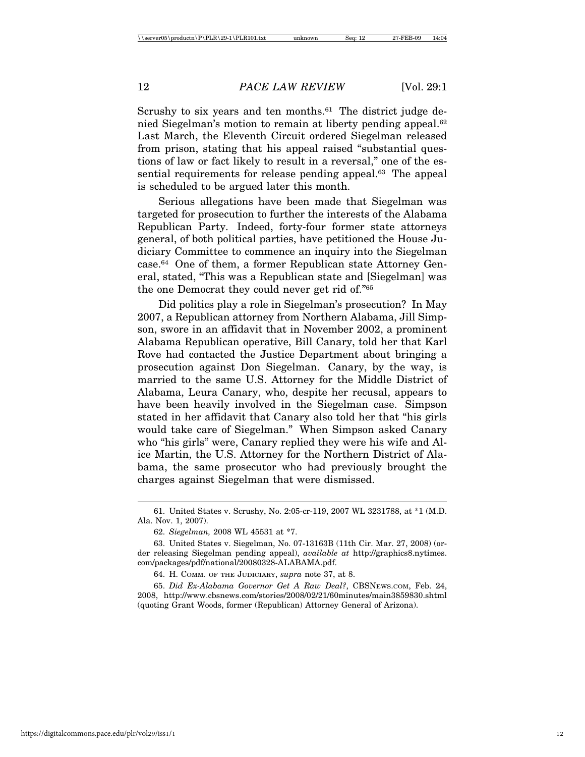Scrushy to six years and ten months.<sup>61</sup> The district judge denied Siegelman's motion to remain at liberty pending appeal.62 Last March, the Eleventh Circuit ordered Siegelman released from prison, stating that his appeal raised "substantial questions of law or fact likely to result in a reversal," one of the essential requirements for release pending appeal.<sup>63</sup> The appeal is scheduled to be argued later this month.

Serious allegations have been made that Siegelman was targeted for prosecution to further the interests of the Alabama Republican Party. Indeed, forty-four former state attorneys general, of both political parties, have petitioned the House Judiciary Committee to commence an inquiry into the Siegelman case.64 One of them, a former Republican state Attorney General, stated, "This was a Republican state and [Siegelman] was the one Democrat they could never get rid of."65

Did politics play a role in Siegelman's prosecution? In May 2007, a Republican attorney from Northern Alabama, Jill Simpson, swore in an affidavit that in November 2002, a prominent Alabama Republican operative, Bill Canary, told her that Karl Rove had contacted the Justice Department about bringing a prosecution against Don Siegelman. Canary, by the way, is married to the same U.S. Attorney for the Middle District of Alabama, Leura Canary, who, despite her recusal, appears to have been heavily involved in the Siegelman case. Simpson stated in her affidavit that Canary also told her that "his girls would take care of Siegelman." When Simpson asked Canary who "his girls" were, Canary replied they were his wife and Alice Martin, the U.S. Attorney for the Northern District of Alabama, the same prosecutor who had previously brought the charges against Siegelman that were dismissed.

<sup>61.</sup> United States v. Scrushy, No. 2:05-cr-119, 2007 WL 3231788, at \*1 (M.D. Ala. Nov. 1, 2007).

<sup>62.</sup> *Siegelman,* 2008 WL 45531 at \*7.

<sup>63.</sup> United States v. Siegelman, No. 07-13163B (11th Cir. Mar. 27, 2008) (order releasing Siegelman pending appeal), *available at* http://graphics8.nytimes. com/packages/pdf/national/20080328-ALABAMA.pdf.

<sup>64.</sup> H. COMM. OF THE JUDICIARY, *supra* note 37, at 8.

<sup>65.</sup> *Did Ex-Alabama Governor Get A Raw Deal?*, CBSNEWS.COM, Feb. 24, 2008, http://www.cbsnews.com/stories/2008/02/21/60minutes/main3859830.shtml (quoting Grant Woods, former (Republican) Attorney General of Arizona).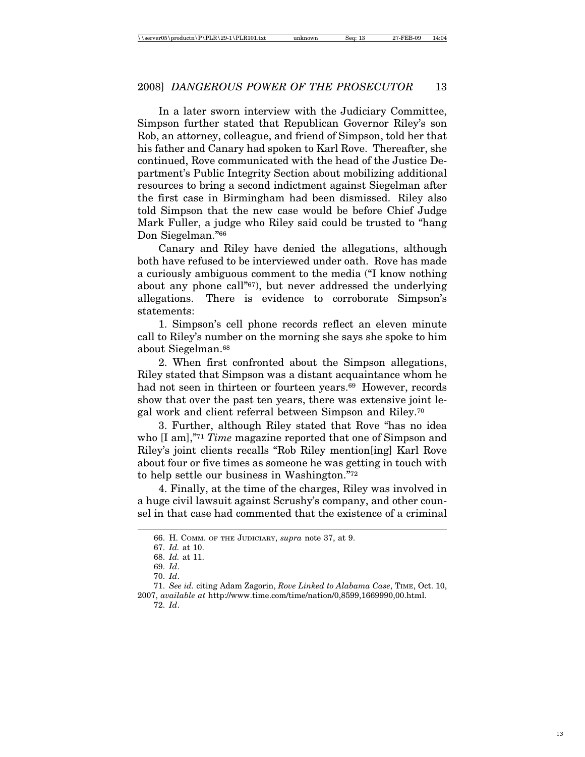In a later sworn interview with the Judiciary Committee, Simpson further stated that Republican Governor Riley's son Rob, an attorney, colleague, and friend of Simpson, told her that his father and Canary had spoken to Karl Rove. Thereafter, she continued, Rove communicated with the head of the Justice Department's Public Integrity Section about mobilizing additional resources to bring a second indictment against Siegelman after the first case in Birmingham had been dismissed. Riley also told Simpson that the new case would be before Chief Judge Mark Fuller, a judge who Riley said could be trusted to "hang Don Siegelman."66

Canary and Riley have denied the allegations, although both have refused to be interviewed under oath. Rove has made a curiously ambiguous comment to the media ("I know nothing about any phone call"67), but never addressed the underlying allegations. There is evidence to corroborate Simpson's statements:

1. Simpson's cell phone records reflect an eleven minute call to Riley's number on the morning she says she spoke to him about Siegelman.68

2. When first confronted about the Simpson allegations, Riley stated that Simpson was a distant acquaintance whom he had not seen in thirteen or fourteen years.<sup>69</sup> However, records show that over the past ten years, there was extensive joint legal work and client referral between Simpson and Riley.70

3. Further, although Riley stated that Rove "has no idea who [I am],"71 *Time* magazine reported that one of Simpson and Riley's joint clients recalls "Rob Riley mention[ing] Karl Rove about four or five times as someone he was getting in touch with to help settle our business in Washington."72

4. Finally, at the time of the charges, Riley was involved in a huge civil lawsuit against Scrushy's company, and other counsel in that case had commented that the existence of a criminal

<sup>66.</sup> H. COMM. OF THE JUDICIARY, *supra* note 37, at 9.

<sup>67.</sup> *Id.* at 10.

<sup>68.</sup> *Id.* at 11.

<sup>69.</sup> *Id*.

<sup>70.</sup> *Id*.

<sup>71.</sup> *See id.* citing Adam Zagorin, *Rove Linked to Alabama Case*, TIME, Oct. 10, 2007, *available at* http://www.time.com/time/nation/0,8599,1669990,00.html. 72. *Id*.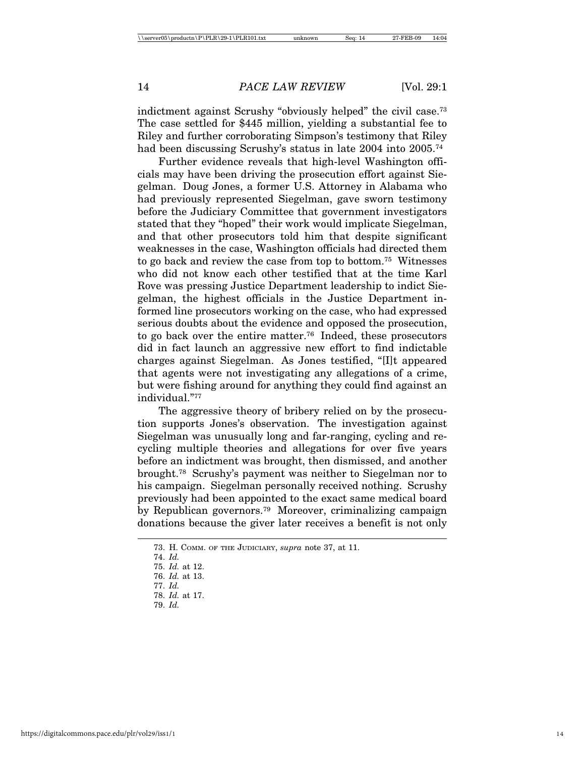indictment against Scrushy "obviously helped" the civil case.<sup>73</sup> The case settled for \$445 million, yielding a substantial fee to Riley and further corroborating Simpson's testimony that Riley had been discussing Scrushy's status in late 2004 into 2005.<sup>74</sup>

Further evidence reveals that high-level Washington officials may have been driving the prosecution effort against Siegelman. Doug Jones, a former U.S. Attorney in Alabama who had previously represented Siegelman, gave sworn testimony before the Judiciary Committee that government investigators stated that they "hoped" their work would implicate Siegelman, and that other prosecutors told him that despite significant weaknesses in the case, Washington officials had directed them to go back and review the case from top to bottom.75 Witnesses who did not know each other testified that at the time Karl Rove was pressing Justice Department leadership to indict Siegelman, the highest officials in the Justice Department informed line prosecutors working on the case, who had expressed serious doubts about the evidence and opposed the prosecution, to go back over the entire matter.76 Indeed, these prosecutors did in fact launch an aggressive new effort to find indictable charges against Siegelman. As Jones testified, "[I]t appeared that agents were not investigating any allegations of a crime, but were fishing around for anything they could find against an individual."77

The aggressive theory of bribery relied on by the prosecution supports Jones's observation. The investigation against Siegelman was unusually long and far-ranging, cycling and recycling multiple theories and allegations for over five years before an indictment was brought, then dismissed, and another brought.78 Scrushy's payment was neither to Siegelman nor to his campaign. Siegelman personally received nothing. Scrushy previously had been appointed to the exact same medical board by Republican governors.79 Moreover, criminalizing campaign donations because the giver later receives a benefit is not only

<sup>73.</sup> H. COMM. OF THE JUDICIARY, *supra* note 37, at 11.

<sup>74.</sup> *Id.*

<sup>75.</sup> *Id.* at 12.

<sup>76.</sup> *Id.* at 13. 77. *Id.*

<sup>78.</sup> *Id.* at 17.

<sup>79.</sup> *Id.*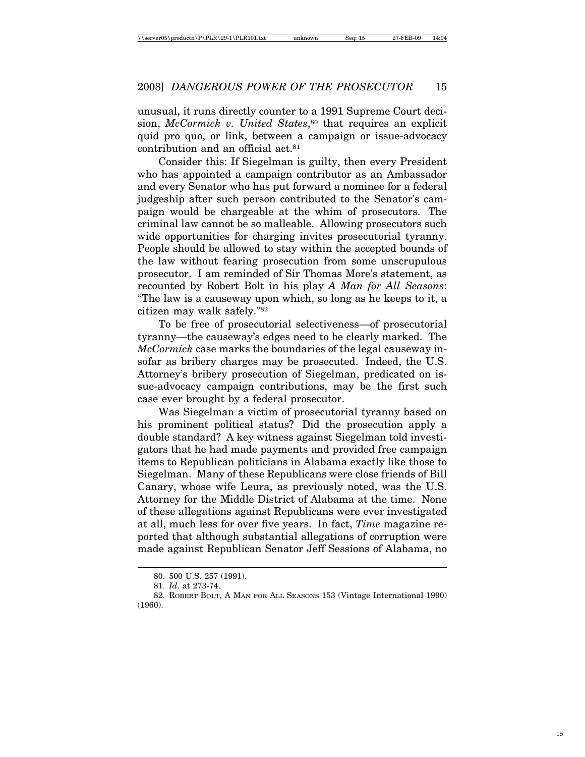unusual, it runs directly counter to a 1991 Supreme Court decision, *McCormick v. United States*,<sup>80</sup> that requires an explicit quid pro quo, or link, between a campaign or issue-advocacy contribution and an official act.81

Consider this: If Siegelman is guilty, then every President who has appointed a campaign contributor as an Ambassador and every Senator who has put forward a nominee for a federal judgeship after such person contributed to the Senator's campaign would be chargeable at the whim of prosecutors. The criminal law cannot be so malleable. Allowing prosecutors such wide opportunities for charging invites prosecutorial tyranny. People should be allowed to stay within the accepted bounds of the law without fearing prosecution from some unscrupulous prosecutor. I am reminded of Sir Thomas More's statement, as recounted by Robert Bolt in his play *A Man for All Seasons*: "The law is a causeway upon which, so long as he keeps to it, a citizen may walk safely."82

To be free of prosecutorial selectiveness—of prosecutorial tyranny—the causeway's edges need to be clearly marked. The *McCormick* case marks the boundaries of the legal causeway insofar as bribery charges may be prosecuted. Indeed, the U.S. Attorney's bribery prosecution of Siegelman, predicated on issue-advocacy campaign contributions, may be the first such case ever brought by a federal prosecutor.

Was Siegelman a victim of prosecutorial tyranny based on his prominent political status? Did the prosecution apply a double standard? A key witness against Siegelman told investigators that he had made payments and provided free campaign items to Republican politicians in Alabama exactly like those to Siegelman. Many of these Republicans were close friends of Bill Canary, whose wife Leura, as previously noted, was the U.S. Attorney for the Middle District of Alabama at the time. None of these allegations against Republicans were ever investigated at all, much less for over five years. In fact, *Time* magazine reported that although substantial allegations of corruption were made against Republican Senator Jeff Sessions of Alabama, no

<sup>80. 500</sup> U.S. 257 (1991).

<sup>81.</sup> *Id*. at 273-74.

<sup>82.</sup> ROBERT BOLT, A MAN FOR ALL SEASONS 153 (Vintage International 1990) (1960).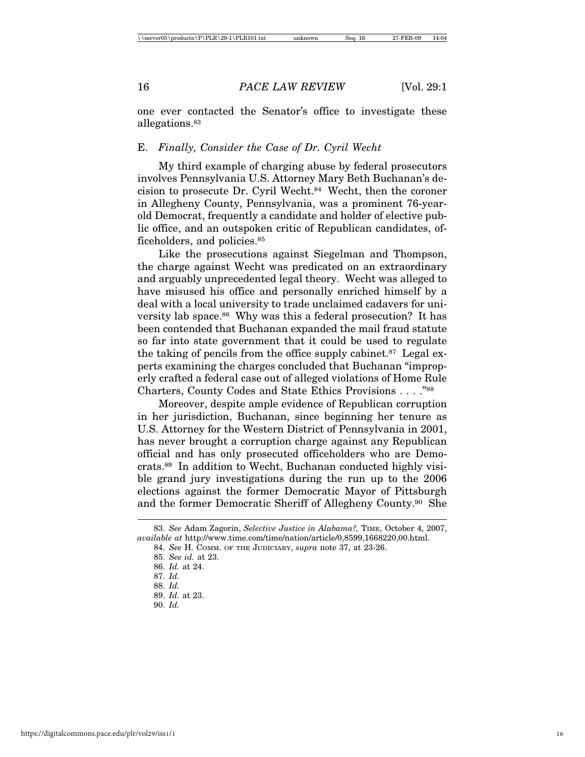one ever contacted the Senator's office to investigate these allegations.83

# E. *Finally, Consider the Case of Dr. Cyril Wecht*

My third example of charging abuse by federal prosecutors involves Pennsylvania U.S. Attorney Mary Beth Buchanan's decision to prosecute Dr. Cyril Wecht.84 Wecht, then the coroner in Allegheny County, Pennsylvania, was a prominent 76-yearold Democrat, frequently a candidate and holder of elective public office, and an outspoken critic of Republican candidates, officeholders, and policies.<sup>85</sup>

Like the prosecutions against Siegelman and Thompson, the charge against Wecht was predicated on an extraordinary and arguably unprecedented legal theory. Wecht was alleged to have misused his office and personally enriched himself by a deal with a local university to trade unclaimed cadavers for university lab space.<sup>86</sup> Why was this a federal prosecution? It has been contended that Buchanan expanded the mail fraud statute so far into state government that it could be used to regulate the taking of pencils from the office supply cabinet.87 Legal experts examining the charges concluded that Buchanan "improperly crafted a federal case out of alleged violations of Home Rule Charters, County Codes and State Ethics Provisions . . . ."88

Moreover, despite ample evidence of Republican corruption in her jurisdiction, Buchanan, since beginning her tenure as U.S. Attorney for the Western District of Pennsylvania in 2001, has never brought a corruption charge against any Republican official and has only prosecuted officeholders who are Democrats.89 In addition to Wecht, Buchanan conducted highly visible grand jury investigations during the run up to the 2006 elections against the former Democratic Mayor of Pittsburgh and the former Democratic Sheriff of Allegheny County.90 She

<sup>83.</sup> *See* Adam Zagorin, *Selective Justice in Alabama?,* TIME, October 4, 2007, *available at* http://www.time.com/time/nation/article/0,8599,1668220,00.html.

<sup>84.</sup> *See* H. COMM. OF THE JUDICIARY, *supra* note 37, at 23-26.

<sup>85.</sup> *See id.* at 23.

<sup>86.</sup> *Id.* at 24.

<sup>87.</sup> *Id.*

<sup>88.</sup> *Id.*

<sup>89.</sup> *Id.* at 23.

<sup>90.</sup> *Id.*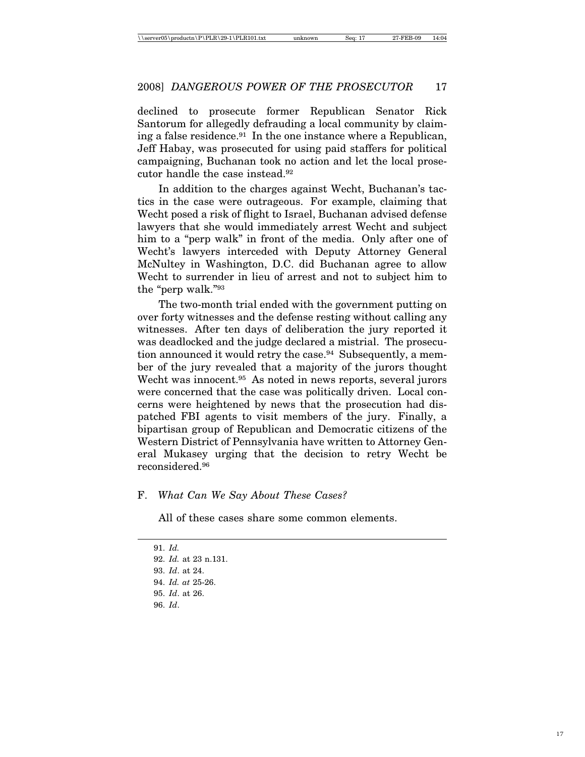declined to prosecute former Republican Senator Rick Santorum for allegedly defrauding a local community by claiming a false residence.<sup>91</sup> In the one instance where a Republican, Jeff Habay, was prosecuted for using paid staffers for political campaigning, Buchanan took no action and let the local prosecutor handle the case instead.92

In addition to the charges against Wecht, Buchanan's tactics in the case were outrageous. For example, claiming that Wecht posed a risk of flight to Israel, Buchanan advised defense lawyers that she would immediately arrest Wecht and subject him to a "perp walk" in front of the media. Only after one of Wecht's lawyers interceded with Deputy Attorney General McNultey in Washington, D.C. did Buchanan agree to allow Wecht to surrender in lieu of arrest and not to subject him to the "perp walk."93

The two-month trial ended with the government putting on over forty witnesses and the defense resting without calling any witnesses. After ten days of deliberation the jury reported it was deadlocked and the judge declared a mistrial. The prosecution announced it would retry the case.94 Subsequently, a member of the jury revealed that a majority of the jurors thought Wecht was innocent.<sup>95</sup> As noted in news reports, several jurors were concerned that the case was politically driven. Local concerns were heightened by news that the prosecution had dispatched FBI agents to visit members of the jury. Finally, a bipartisan group of Republican and Democratic citizens of the Western District of Pennsylvania have written to Attorney General Mukasey urging that the decision to retry Wecht be reconsidered.96

# F. *What Can We Say About These Cases?*

All of these cases share some common elements.

96. *Id*.

<sup>91.</sup> *Id.*

<sup>92.</sup> *Id.* at 23 n.131.

<sup>93.</sup> *Id*. at 24.

<sup>94.</sup> *Id. at* 25-26.

<sup>95.</sup> *Id*. at 26.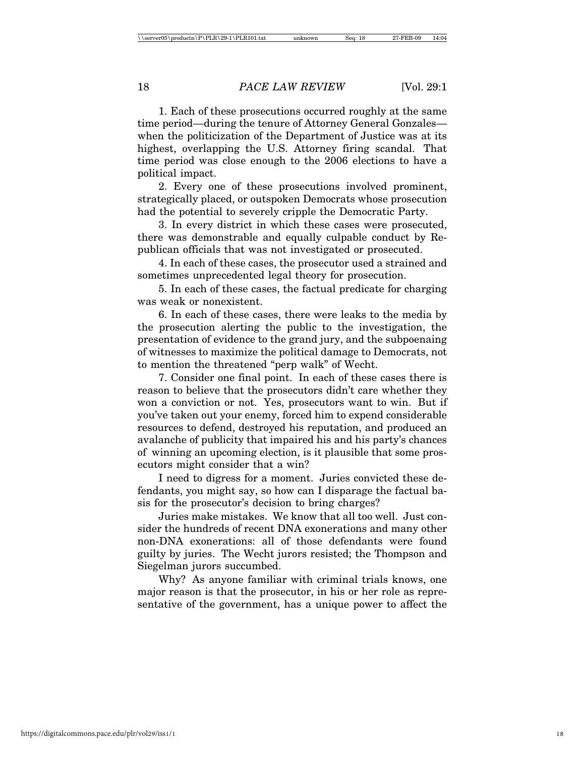1. Each of these prosecutions occurred roughly at the same time period—during the tenure of Attorney General Gonzales when the politicization of the Department of Justice was at its highest, overlapping the U.S. Attorney firing scandal. That time period was close enough to the 2006 elections to have a political impact.

2. Every one of these prosecutions involved prominent, strategically placed, or outspoken Democrats whose prosecution had the potential to severely cripple the Democratic Party.

3. In every district in which these cases were prosecuted, there was demonstrable and equally culpable conduct by Republican officials that was not investigated or prosecuted.

4. In each of these cases, the prosecutor used a strained and sometimes unprecedented legal theory for prosecution.

5. In each of these cases, the factual predicate for charging was weak or nonexistent.

6. In each of these cases, there were leaks to the media by the prosecution alerting the public to the investigation, the presentation of evidence to the grand jury, and the subpoenaing of witnesses to maximize the political damage to Democrats, not to mention the threatened "perp walk" of Wecht.

7. Consider one final point. In each of these cases there is reason to believe that the prosecutors didn't care whether they won a conviction or not. Yes, prosecutors want to win. But if you've taken out your enemy, forced him to expend considerable resources to defend, destroyed his reputation, and produced an avalanche of publicity that impaired his and his party's chances of winning an upcoming election, is it plausible that some prosecutors might consider that a win?

I need to digress for a moment. Juries convicted these defendants, you might say, so how can I disparage the factual basis for the prosecutor's decision to bring charges?

Juries make mistakes. We know that all too well. Just consider the hundreds of recent DNA exonerations and many other non-DNA exonerations: all of those defendants were found guilty by juries. The Wecht jurors resisted; the Thompson and Siegelman jurors succumbed.

Why? As anyone familiar with criminal trials knows, one major reason is that the prosecutor, in his or her role as representative of the government, has a unique power to affect the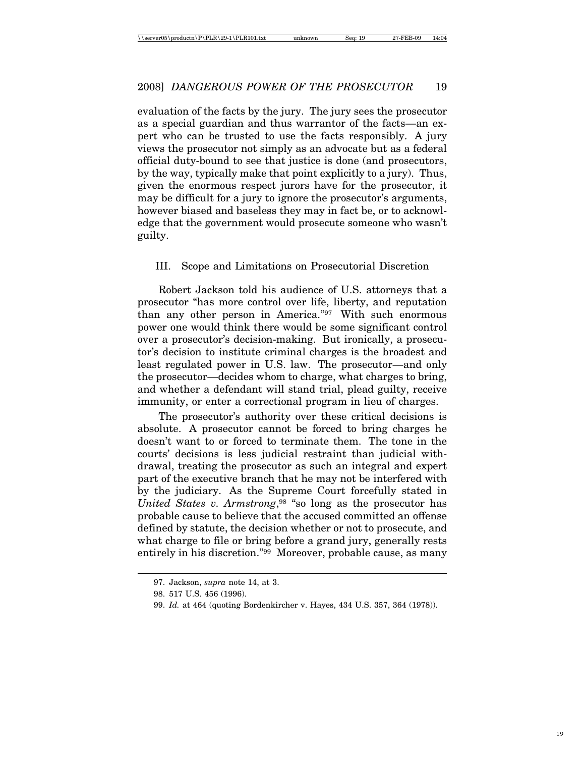evaluation of the facts by the jury. The jury sees the prosecutor as a special guardian and thus warrantor of the facts—an expert who can be trusted to use the facts responsibly. A jury views the prosecutor not simply as an advocate but as a federal official duty-bound to see that justice is done (and prosecutors, by the way, typically make that point explicitly to a jury). Thus, given the enormous respect jurors have for the prosecutor, it may be difficult for a jury to ignore the prosecutor's arguments, however biased and baseless they may in fact be, or to acknowledge that the government would prosecute someone who wasn't guilty.

# III. Scope and Limitations on Prosecutorial Discretion

Robert Jackson told his audience of U.S. attorneys that a prosecutor "has more control over life, liberty, and reputation than any other person in America."97 With such enormous power one would think there would be some significant control over a prosecutor's decision-making. But ironically, a prosecutor's decision to institute criminal charges is the broadest and least regulated power in U.S. law. The prosecutor—and only the prosecutor—decides whom to charge, what charges to bring, and whether a defendant will stand trial, plead guilty, receive immunity, or enter a correctional program in lieu of charges.

The prosecutor's authority over these critical decisions is absolute. A prosecutor cannot be forced to bring charges he doesn't want to or forced to terminate them. The tone in the courts' decisions is less judicial restraint than judicial withdrawal, treating the prosecutor as such an integral and expert part of the executive branch that he may not be interfered with by the judiciary. As the Supreme Court forcefully stated in *United States v. Armstrong*<sup>98</sup> "so long as the prosecutor has probable cause to believe that the accused committed an offense defined by statute, the decision whether or not to prosecute, and what charge to file or bring before a grand jury, generally rests entirely in his discretion."99 Moreover, probable cause, as many

<sup>97.</sup> Jackson, *supra* note 14, at 3.

<sup>98. 517</sup> U.S. 456 (1996).

<sup>99.</sup> *Id.* at 464 (quoting Bordenkircher v. Hayes, 434 U.S. 357, 364 (1978)).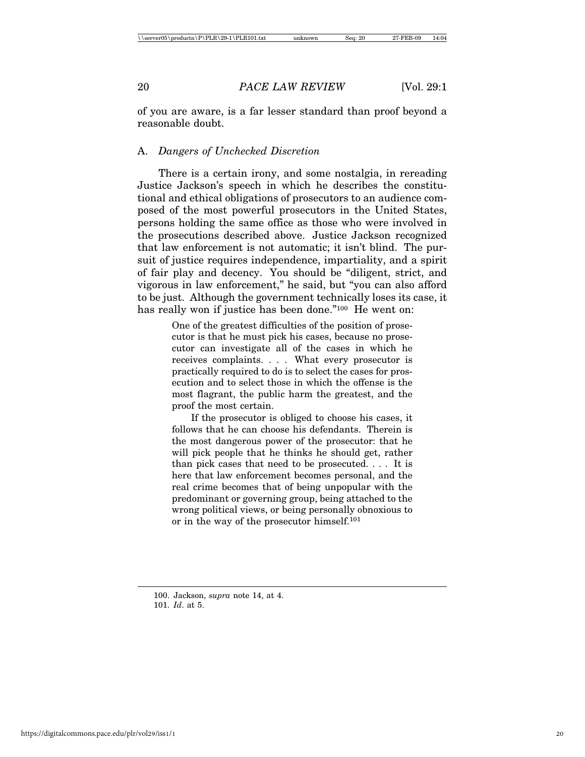of you are aware, is a far lesser standard than proof beyond a reasonable doubt.

# A. *Dangers of Unchecked Discretion*

There is a certain irony, and some nostalgia, in rereading Justice Jackson's speech in which he describes the constitutional and ethical obligations of prosecutors to an audience composed of the most powerful prosecutors in the United States, persons holding the same office as those who were involved in the prosecutions described above. Justice Jackson recognized that law enforcement is not automatic; it isn't blind. The pursuit of justice requires independence, impartiality, and a spirit of fair play and decency. You should be "diligent, strict, and vigorous in law enforcement," he said, but "you can also afford to be just. Although the government technically loses its case, it has really won if justice has been done."<sup>100</sup> He went on:

> One of the greatest difficulties of the position of prosecutor is that he must pick his cases, because no prosecutor can investigate all of the cases in which he receives complaints. . . . What every prosecutor is practically required to do is to select the cases for prosecution and to select those in which the offense is the most flagrant, the public harm the greatest, and the proof the most certain.

> If the prosecutor is obliged to choose his cases, it follows that he can choose his defendants. Therein is the most dangerous power of the prosecutor: that he will pick people that he thinks he should get, rather than pick cases that need to be prosecuted. . . . It is here that law enforcement becomes personal, and the real crime becomes that of being unpopular with the predominant or governing group, being attached to the wrong political views, or being personally obnoxious to or in the way of the prosecutor himself.101

<sup>100.</sup> Jackson, *supra* note 14, at 4. 101. *Id*. at 5.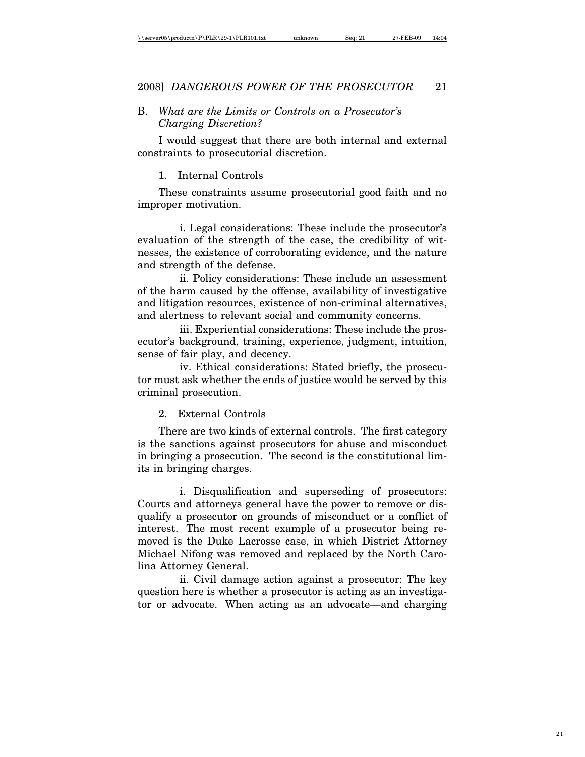# B. *What are the Limits or Controls on a Prosecutor's Charging Discretion?*

I would suggest that there are both internal and external constraints to prosecutorial discretion.

#### 1. Internal Controls

These constraints assume prosecutorial good faith and no improper motivation.

i. Legal considerations: These include the prosecutor's evaluation of the strength of the case, the credibility of witnesses, the existence of corroborating evidence, and the nature and strength of the defense.

ii. Policy considerations: These include an assessment of the harm caused by the offense, availability of investigative and litigation resources, existence of non-criminal alternatives, and alertness to relevant social and community concerns.

iii. Experiential considerations: These include the prosecutor's background, training, experience, judgment, intuition, sense of fair play, and decency.

iv. Ethical considerations: Stated briefly, the prosecutor must ask whether the ends of justice would be served by this criminal prosecution.

# 2. External Controls

There are two kinds of external controls. The first category is the sanctions against prosecutors for abuse and misconduct in bringing a prosecution. The second is the constitutional limits in bringing charges.

i. Disqualification and superseding of prosecutors: Courts and attorneys general have the power to remove or disqualify a prosecutor on grounds of misconduct or a conflict of interest. The most recent example of a prosecutor being removed is the Duke Lacrosse case, in which District Attorney Michael Nifong was removed and replaced by the North Carolina Attorney General.

ii. Civil damage action against a prosecutor: The key question here is whether a prosecutor is acting as an investigator or advocate. When acting as an advocate—and charging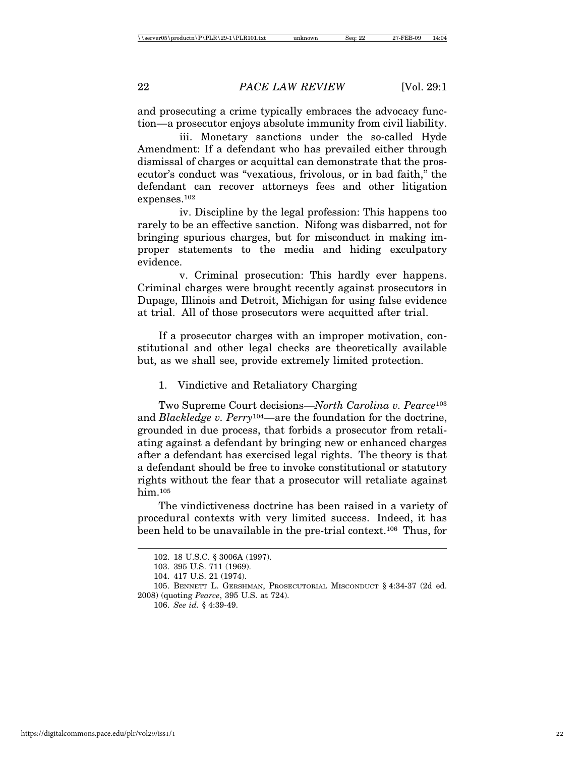and prosecuting a crime typically embraces the advocacy function—a prosecutor enjoys absolute immunity from civil liability.

iii. Monetary sanctions under the so-called Hyde Amendment: If a defendant who has prevailed either through dismissal of charges or acquittal can demonstrate that the prosecutor's conduct was "vexatious, frivolous, or in bad faith," the defendant can recover attorneys fees and other litigation expenses.102

iv. Discipline by the legal profession: This happens too rarely to be an effective sanction. Nifong was disbarred, not for bringing spurious charges, but for misconduct in making improper statements to the media and hiding exculpatory evidence.

v. Criminal prosecution: This hardly ever happens. Criminal charges were brought recently against prosecutors in Dupage, Illinois and Detroit, Michigan for using false evidence at trial. All of those prosecutors were acquitted after trial.

If a prosecutor charges with an improper motivation, constitutional and other legal checks are theoretically available but, as we shall see, provide extremely limited protection.

# 1. Vindictive and Retaliatory Charging

Two Supreme Court decisions—*North Carolina v. Pearce*<sup>103</sup> and *Blackledge v. Perry*104—are the foundation for the doctrine, grounded in due process, that forbids a prosecutor from retaliating against a defendant by bringing new or enhanced charges after a defendant has exercised legal rights. The theory is that a defendant should be free to invoke constitutional or statutory rights without the fear that a prosecutor will retaliate against him.105

The vindictiveness doctrine has been raised in a variety of procedural contexts with very limited success. Indeed, it has been held to be unavailable in the pre-trial context.106 Thus, for

106. *See id.* § 4:39-49.

<sup>102. 18</sup> U.S.C. § 3006A (1997).

<sup>103. 395</sup> U.S. 711 (1969).

<sup>104. 417</sup> U.S. 21 (1974).

<sup>105.</sup> BENNETT L. GERSHMAN, PROSECUTORIAL MISCONDUCT § 4:34-37 (2d ed. 2008) (quoting *Pearce*, 395 U.S. at 724).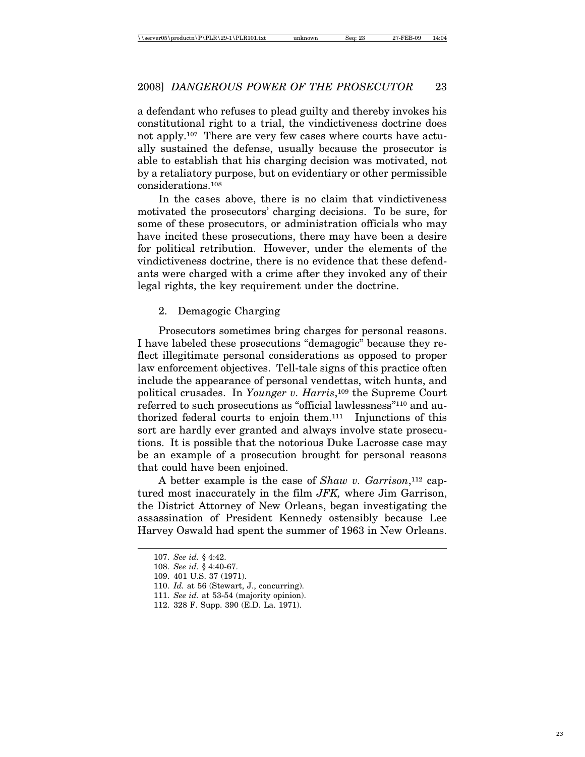a defendant who refuses to plead guilty and thereby invokes his constitutional right to a trial, the vindictiveness doctrine does not apply.107 There are very few cases where courts have actually sustained the defense, usually because the prosecutor is able to establish that his charging decision was motivated, not by a retaliatory purpose, but on evidentiary or other permissible considerations.108

In the cases above, there is no claim that vindictiveness motivated the prosecutors' charging decisions. To be sure, for some of these prosecutors, or administration officials who may have incited these prosecutions, there may have been a desire for political retribution. However, under the elements of the vindictiveness doctrine, there is no evidence that these defendants were charged with a crime after they invoked any of their legal rights, the key requirement under the doctrine.

# 2. Demagogic Charging

Prosecutors sometimes bring charges for personal reasons. I have labeled these prosecutions "demagogic" because they reflect illegitimate personal considerations as opposed to proper law enforcement objectives. Tell-tale signs of this practice often include the appearance of personal vendettas, witch hunts, and political crusades. In *Younger v. Harris*,109 the Supreme Court referred to such prosecutions as "official lawlessness"110 and authorized federal courts to enjoin them.111 Injunctions of this sort are hardly ever granted and always involve state prosecutions. It is possible that the notorious Duke Lacrosse case may be an example of a prosecution brought for personal reasons that could have been enjoined.

A better example is the case of *Shaw v. Garrison*,112 captured most inaccurately in the film *JFK,* where Jim Garrison, the District Attorney of New Orleans, began investigating the assassination of President Kennedy ostensibly because Lee Harvey Oswald had spent the summer of 1963 in New Orleans.

<sup>107.</sup> *See id.* § 4:42.

<sup>108.</sup> *See id.* § 4:40-67.

<sup>109. 401</sup> U.S. 37 (1971).

<sup>110.</sup> *Id.* at 56 (Stewart, J., concurring).

<sup>111.</sup> *See id.* at 53-54 (majority opinion).

<sup>112. 328</sup> F. Supp. 390 (E.D. La. 1971).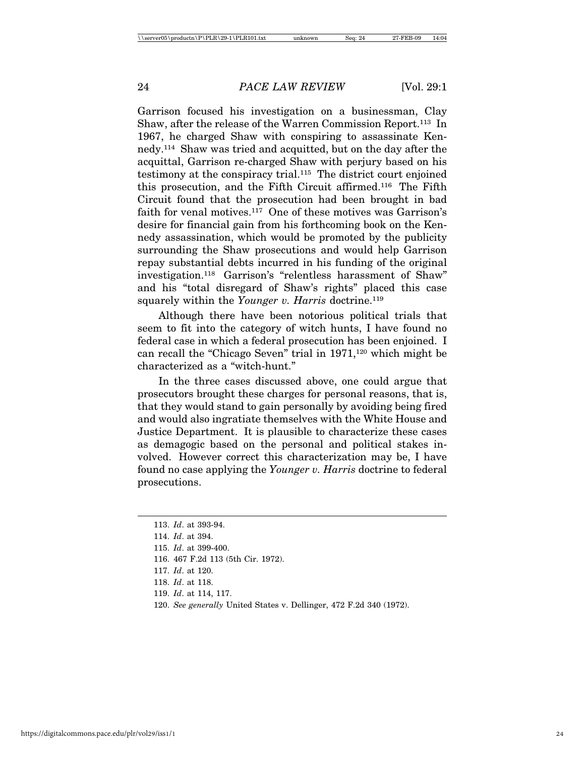Garrison focused his investigation on a businessman, Clay Shaw, after the release of the Warren Commission Report.113 In 1967, he charged Shaw with conspiring to assassinate Kennedy.114 Shaw was tried and acquitted, but on the day after the acquittal, Garrison re-charged Shaw with perjury based on his testimony at the conspiracy trial.115 The district court enjoined this prosecution, and the Fifth Circuit affirmed.116 The Fifth Circuit found that the prosecution had been brought in bad faith for venal motives.117 One of these motives was Garrison's desire for financial gain from his forthcoming book on the Kennedy assassination, which would be promoted by the publicity surrounding the Shaw prosecutions and would help Garrison repay substantial debts incurred in his funding of the original investigation.118 Garrison's "relentless harassment of Shaw" and his "total disregard of Shaw's rights" placed this case squarely within the *Younger v. Harris* doctrine.<sup>119</sup>

Although there have been notorious political trials that seem to fit into the category of witch hunts, I have found no federal case in which a federal prosecution has been enjoined. I can recall the "Chicago Seven" trial in  $1971$ ,<sup>120</sup> which might be characterized as a "witch-hunt."

In the three cases discussed above, one could argue that prosecutors brought these charges for personal reasons, that is, that they would stand to gain personally by avoiding being fired and would also ingratiate themselves with the White House and Justice Department. It is plausible to characterize these cases as demagogic based on the personal and political stakes involved. However correct this characterization may be, I have found no case applying the *Younger v. Harris* doctrine to federal prosecutions.

<sup>113.</sup> *Id*. at 393-94.

<sup>114.</sup> *Id*. at 394.

<sup>115.</sup> *Id*. at 399-400.

<sup>116. 467</sup> F.2d 113 (5th Cir. 1972).

<sup>117.</sup> *Id*. at 120.

<sup>118.</sup> *Id*. at 118.

<sup>119.</sup> *Id*. at 114, 117.

<sup>120.</sup> *See generally* United States v. Dellinger, 472 F.2d 340 (1972).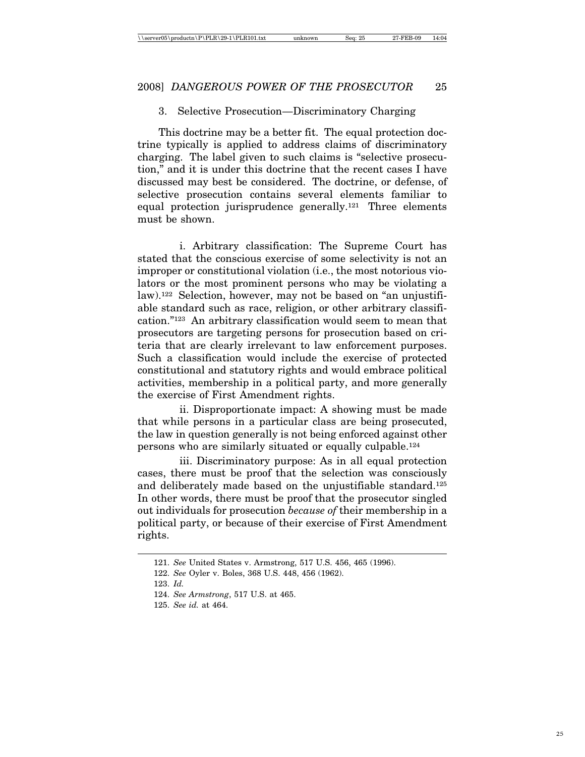#### 3. Selective Prosecution—Discriminatory Charging

This doctrine may be a better fit. The equal protection doctrine typically is applied to address claims of discriminatory charging. The label given to such claims is "selective prosecution," and it is under this doctrine that the recent cases I have discussed may best be considered. The doctrine, or defense, of selective prosecution contains several elements familiar to equal protection jurisprudence generally.121 Three elements must be shown.

i. Arbitrary classification: The Supreme Court has stated that the conscious exercise of some selectivity is not an improper or constitutional violation (i.e., the most notorious violators or the most prominent persons who may be violating a law).122 Selection, however, may not be based on "an unjustifiable standard such as race, religion, or other arbitrary classification."123 An arbitrary classification would seem to mean that prosecutors are targeting persons for prosecution based on criteria that are clearly irrelevant to law enforcement purposes. Such a classification would include the exercise of protected constitutional and statutory rights and would embrace political activities, membership in a political party, and more generally the exercise of First Amendment rights.

ii. Disproportionate impact: A showing must be made that while persons in a particular class are being prosecuted, the law in question generally is not being enforced against other persons who are similarly situated or equally culpable.124

iii. Discriminatory purpose: As in all equal protection cases, there must be proof that the selection was consciously and deliberately made based on the unjustifiable standard.125 In other words, there must be proof that the prosecutor singled out individuals for prosecution *because of* their membership in a political party, or because of their exercise of First Amendment rights.

<sup>121.</sup> *See* United States v. Armstrong, 517 U.S. 456, 465 (1996).

<sup>122.</sup> *See* Oyler v. Boles, 368 U.S. 448, 456 (1962).

<sup>123.</sup> *Id.*

<sup>124.</sup> *See Armstrong*, 517 U.S. at 465.

<sup>125.</sup> *See id.* at 464.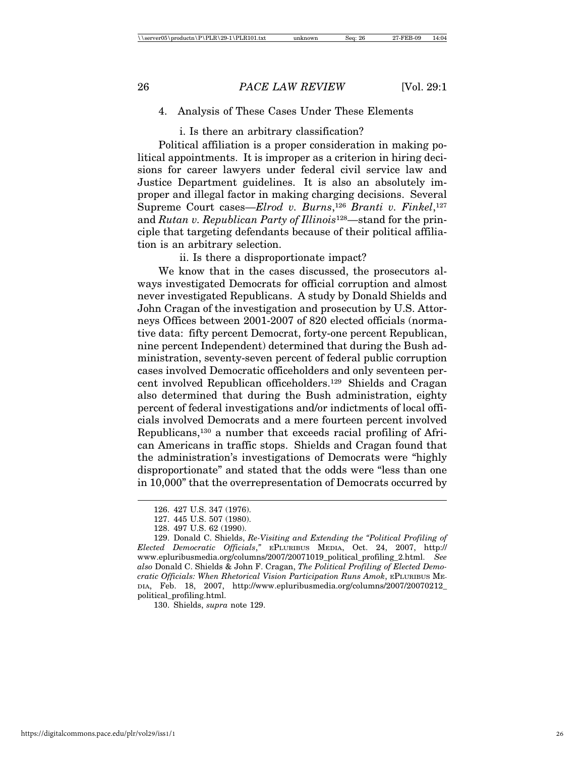# 4. Analysis of These Cases Under These Elements

i. Is there an arbitrary classification?

Political affiliation is a proper consideration in making political appointments. It is improper as a criterion in hiring decisions for career lawyers under federal civil service law and Justice Department guidelines. It is also an absolutely improper and illegal factor in making charging decisions. Several Supreme Court cases—*Elrod v. Burns*,126 *Branti v. Finkel*,127 and *Rutan v. Republican Party of Illinois*128—stand for the principle that targeting defendants because of their political affiliation is an arbitrary selection.

ii. Is there a disproportionate impact?

We know that in the cases discussed, the prosecutors always investigated Democrats for official corruption and almost never investigated Republicans. A study by Donald Shields and John Cragan of the investigation and prosecution by U.S. Attorneys Offices between 2001-2007 of 820 elected officials (normative data: fifty percent Democrat, forty-one percent Republican, nine percent Independent) determined that during the Bush administration, seventy-seven percent of federal public corruption cases involved Democratic officeholders and only seventeen percent involved Republican officeholders.129 Shields and Cragan also determined that during the Bush administration, eighty percent of federal investigations and/or indictments of local officials involved Democrats and a mere fourteen percent involved Republicans,130 a number that exceeds racial profiling of African Americans in traffic stops. Shields and Cragan found that the administration's investigations of Democrats were "highly disproportionate" and stated that the odds were "less than one in 10,000" that the overrepresentation of Democrats occurred by

130. Shields, *supra* note 129.

<sup>126. 427</sup> U.S. 347 (1976).

<sup>127. 445</sup> U.S. 507 (1980).

<sup>128. 497</sup> U.S. 62 (1990).

<sup>129.</sup> Donald C. Shields, *Re-Visiting and Extending the "Political Profiling of Elected Democratic Officials*,*"* EPLURIBUS MEDIA, Oct. 24, 2007, http:// www.epluribusmedia.org/columns/2007/20071019\_political\_profiling\_2.html. *See also* Donald C. Shields & John F. Cragan, *The Political Profiling of Elected Democratic Officials: When Rhetorical Vision Participation Runs Amok*, EPLURIBUS ME-DIA, Feb. 18, 2007, http://www.epluribusmedia.org/columns/2007/20070212\_ political\_profiling.html.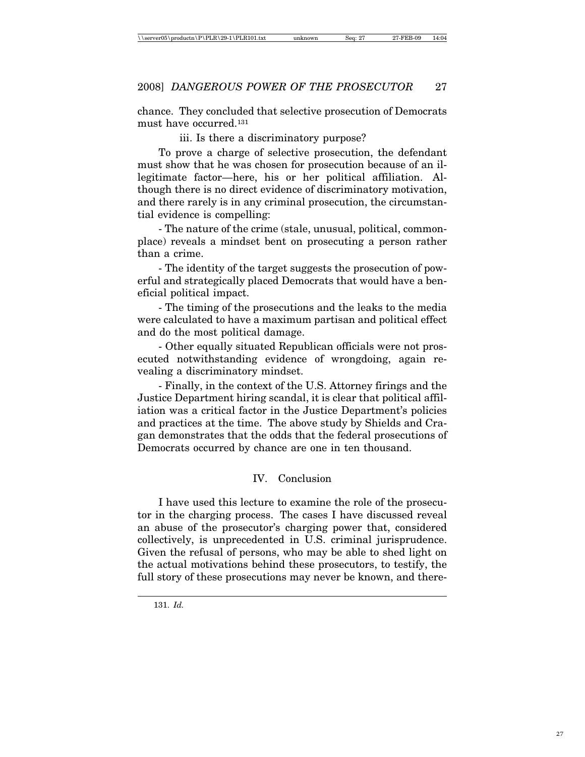chance. They concluded that selective prosecution of Democrats must have occurred.131

iii. Is there a discriminatory purpose?

To prove a charge of selective prosecution, the defendant must show that he was chosen for prosecution because of an illegitimate factor—here, his or her political affiliation. Although there is no direct evidence of discriminatory motivation, and there rarely is in any criminal prosecution, the circumstantial evidence is compelling:

- The nature of the crime (stale, unusual, political, commonplace) reveals a mindset bent on prosecuting a person rather than a crime.

- The identity of the target suggests the prosecution of powerful and strategically placed Democrats that would have a beneficial political impact.

- The timing of the prosecutions and the leaks to the media were calculated to have a maximum partisan and political effect and do the most political damage.

- Other equally situated Republican officials were not prosecuted notwithstanding evidence of wrongdoing, again revealing a discriminatory mindset.

- Finally, in the context of the U.S. Attorney firings and the Justice Department hiring scandal, it is clear that political affiliation was a critical factor in the Justice Department's policies and practices at the time. The above study by Shields and Cragan demonstrates that the odds that the federal prosecutions of Democrats occurred by chance are one in ten thousand.

# IV. Conclusion

I have used this lecture to examine the role of the prosecutor in the charging process. The cases I have discussed reveal an abuse of the prosecutor's charging power that, considered collectively, is unprecedented in U.S. criminal jurisprudence. Given the refusal of persons, who may be able to shed light on the actual motivations behind these prosecutors, to testify, the full story of these prosecutions may never be known, and there-

<sup>131.</sup> *Id.*